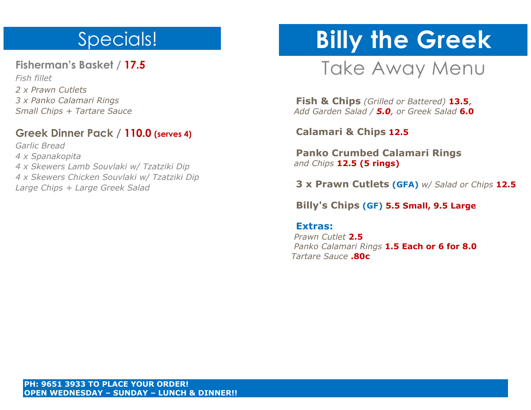### Specials!

**Fisherman's Basket / 17.5** 

*Fish fillet 2 x Prawn Cutlets 3 x Panko Calamari Rings Small Chips + Tartare Sauce*

#### **Greek Dinner Pack / 110.0 (serves 4)**

*Garlic Bread 4 x Spanakopita 4 x Skewers Lamb Souvlaki w/ Tzatziki Dip 4 x Skewers Chicken Souvlaki w/ Tzatziki Dip Large Chips + Large Greek Salad*

# **Billy the Greek**

## Take Away Menu

 **Fish & Chips** *(Grilled or Battered)* **13.5**,  *Add Garden Salad / 5.0, or Greek Salad* **6.0**

 **Calamari & Chips 12.5**

 **Panko Crumbed Calamari Rings**  *and Chips* **12.5 (5 rings)**

 **3 x Prawn Cutlets (GFA)** *w/ Salad or Chips* **12.5**

 **Billy's Chips (GF) 5.5 Small, 9.5 Large**

#### **Extras:**

 *Prawn Cutlet* **2.5**  *Panko Calamari Rings* **1.5 Each or 6 for 8.0**  *Tartare Sauce* **.80c**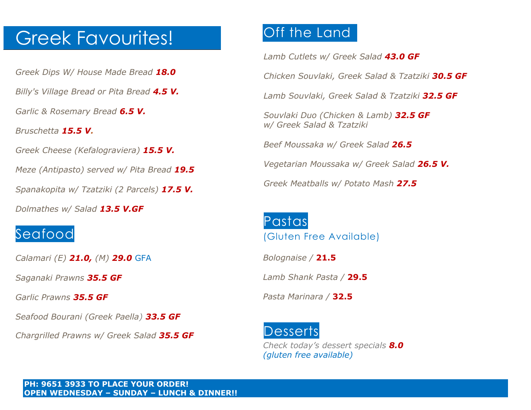### Greek Favourites!

*Greek Dips W/ House Made Bread 18.0*

*Billy's Village Bread or Pita Bread 4.5 V.*

*Garlic & Rosemary Bread 6.5 V.*

*Bruschetta 15.5 V.*

*Greek Cheese (Kefalograviera) 15.5 V.*

*Meze (Antipasto) served w/ Pita Bread 19.5*

*Spanakopita w/ Tzatziki (2 Parcels) 17.5 V.*

*Dolmathes w/ Salad 13.5 V.GF*

#### Seafood

*Calamari (E) 21.0, (M) 29.0* GFA

*Saganaki Prawns 35.5 GF*

*Garlic Prawns 35.5 GF*

*Seafood Bourani (Greek Paella) 33.5 GF*

*Chargrilled Prawns w/ Greek Salad 35.5 GF*

### Off the Land

*Lamb Cutlets w/ Greek Salad 43.0 GF*

*Chicken Souvlaki, Greek Salad & Tzatziki 30.5 GF*

*Lamb Souvlaki, Greek Salad & Tzatziki 32.5 GF*

*Souvlaki Duo (Chicken & Lamb) 32.5 GF w/ Greek Salad & Tzatziki*

*Beef Moussaka w/ Greek Salad 26.5*

*Vegetarian Moussaka w/ Greek Salad 26.5 V.*

*Greek Meatballs w/ Potato Mash 27.5*

# Pastas

(Gluten Free Available)

*Bolognaise /* **21.5**

*Lamb Shank Pasta /* **29.5**

*Pasta Marinara /* **32.5**

#### **Desserts**

*Check today's dessert specials 8.0 (gluten free available)*

**PH: 9651 3933 TO PLACE YOUR ORDER! OPEN WEDNESDAY – SUNDAY – LUNCH & DINNER!!**